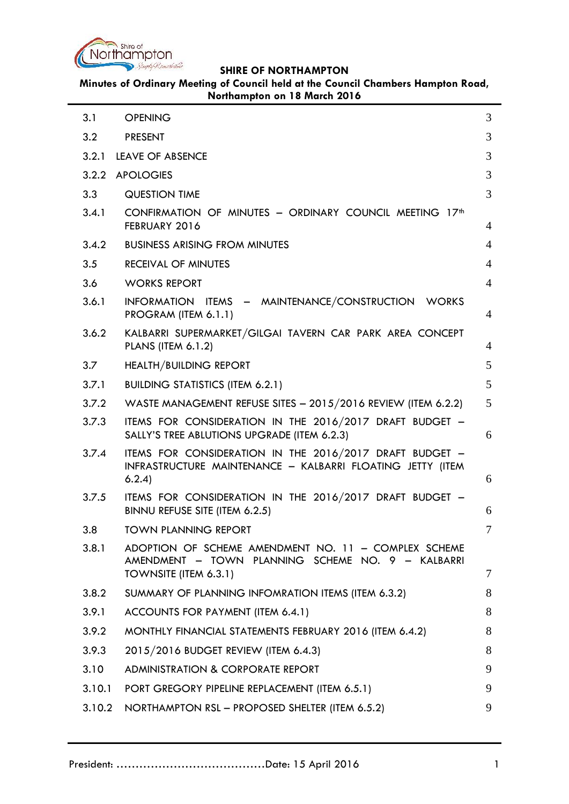

**Minutes of Ordinary Meeting of Council held at the Council Chambers Hampton Road, Northampton on 18 March 2016**

| 3.1    | <b>OPENING</b>                                                                                                                     | 3              |
|--------|------------------------------------------------------------------------------------------------------------------------------------|----------------|
| 3.2    | <b>PRESENT</b>                                                                                                                     | 3              |
| 3.2.1  | <b>LEAVE OF ABSENCE</b>                                                                                                            | 3              |
| 3.2.2  | <b>APOLOGIES</b>                                                                                                                   | 3              |
| 3.3    | <b>QUESTION TIME</b>                                                                                                               | 3              |
| 3.4.1  | CONFIRMATION OF MINUTES - ORDINARY COUNCIL MEETING 17 <sup>th</sup><br>FEBRUARY 2016                                               | $\overline{4}$ |
| 3.4.2  | <b>BUSINESS ARISING FROM MINUTES</b>                                                                                               | $\overline{4}$ |
| 3.5    | RECEIVAL OF MINUTES                                                                                                                | $\overline{4}$ |
| 3.6    | <b>WORKS REPORT</b>                                                                                                                | 4              |
| 3.6.1  | INFORMATION ITEMS - MAINTENANCE/CONSTRUCTION WORKS<br>PROGRAM (ITEM 6.1.1)                                                         | 4              |
| 3.6.2  | KALBARRI SUPERMARKET/GILGAI TAVERN CAR PARK AREA CONCEPT<br><b>PLANS (ITEM 6.1.2)</b>                                              | 4              |
| 3.7    | <b>HEALTH/BUILDING REPORT</b>                                                                                                      | 5              |
| 3.7.1  | <b>BUILDING STATISTICS (ITEM 6.2.1)</b>                                                                                            | 5              |
| 3.7.2  | WASTE MANAGEMENT REFUSE SITES $- 2015/2016$ REVIEW (ITEM 6.2.2)                                                                    | 5              |
| 3.7.3  | ITEMS FOR CONSIDERATION IN THE 2016/2017 DRAFT BUDGET -<br>SALLY'S TREE ABLUTIONS UPGRADE (ITEM 6.2.3)                             | 6              |
| 3.7.4  | ITEMS FOR CONSIDERATION IN THE 2016/2017 DRAFT BUDGET -<br>INFRASTRUCTURE MAINTENANCE - KALBARRI FLOATING JETTY (ITEM<br>6.2.4)    | 6              |
| 3.7.5  | ITEMS FOR CONSIDERATION IN THE 2016/2017 DRAFT BUDGET -<br>BINNU REFUSE SITE (ITEM 6.2.5)                                          | 6              |
| 3.8    | <b>TOWN PLANNING REPORT</b>                                                                                                        | 7              |
| 3.8.1  | ADOPTION OF SCHEME AMENDMENT NO. 11 - COMPLEX SCHEME<br>AMENDMENT - TOWN PLANNING SCHEME NO. 9 - KALBARRI<br>TOWNSITE (ITEM 6.3.1) | 7              |
| 3.8.2  | SUMMARY OF PLANNING INFOMRATION ITEMS (ITEM 6.3.2)                                                                                 | 8              |
| 3.9.1  | ACCOUNTS FOR PAYMENT (ITEM 6.4.1)                                                                                                  | 8              |
| 3.9.2  | MONTHLY FINANCIAL STATEMENTS FEBRUARY 2016 (ITEM 6.4.2)                                                                            | 8              |
| 3.9.3  | 2015/2016 BUDGET REVIEW (ITEM 6.4.3)                                                                                               | 8              |
| 3.10   | <b>ADMINISTRATION &amp; CORPORATE REPORT</b>                                                                                       | 9              |
| 3.10.1 | PORT GREGORY PIPELINE REPLACEMENT (ITEM 6.5.1)                                                                                     | 9              |
| 3.10.2 | NORTHAMPTON RSL - PROPOSED SHELTER (ITEM 6.5.2)                                                                                    | 9              |
|        |                                                                                                                                    |                |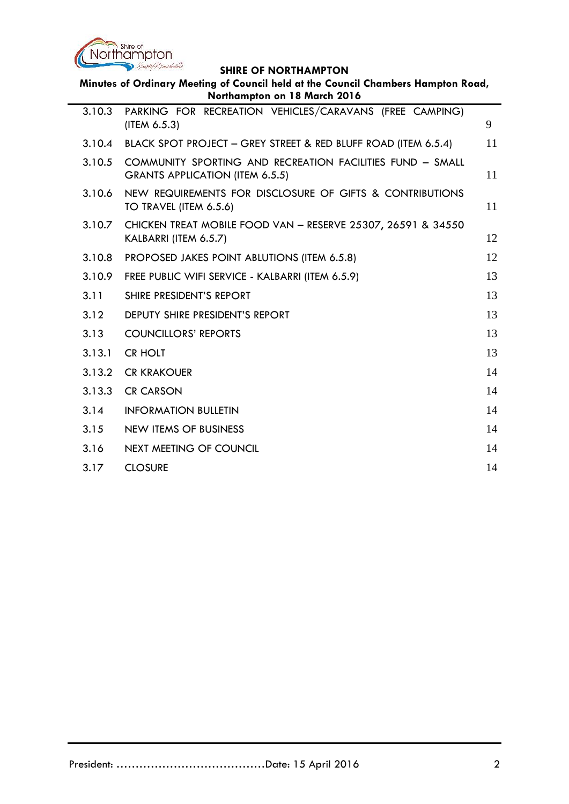

| Minutes of Ordinary Meeting of Council held at the Council Chambers Hampton Road,<br>Northampton on 18 March 2016 |                                                                                              |    |
|-------------------------------------------------------------------------------------------------------------------|----------------------------------------------------------------------------------------------|----|
| 3.10.3                                                                                                            | PARKING FOR RECREATION VEHICLES/CARAVANS (FREE CAMPING)<br>(ITEM 6.5.3)                      | 9  |
| 3.10.4                                                                                                            | BLACK SPOT PROJECT - GREY STREET & RED BLUFF ROAD (ITEM 6.5.4)                               | 11 |
| 3.10.5                                                                                                            | COMMUNITY SPORTING AND RECREATION FACILITIES FUND - SMALL<br>GRANTS APPLICATION (ITEM 6.5.5) | 11 |
| 3.10.6                                                                                                            | NEW REQUIREMENTS FOR DISCLOSURE OF GIFTS & CONTRIBUTIONS<br>TO TRAVEL (ITEM 6.5.6)           | 11 |
| 3.10.7                                                                                                            | CHICKEN TREAT MOBILE FOOD VAN - RESERVE 25307, 26591 & 34550<br>KALBARRI (ITEM 6.5.7)        | 12 |
| 3.10.8                                                                                                            | PROPOSED JAKES POINT ABLUTIONS (ITEM 6.5.8)                                                  | 12 |
| 3.10.9                                                                                                            | FREE PUBLIC WIFI SERVICE - KALBARRI (ITEM 6.5.9)                                             | 13 |
| 3.11                                                                                                              | SHIRE PRESIDENT'S REPORT                                                                     | 13 |
| 3.12                                                                                                              | <b>DEPUTY SHIRE PRESIDENT'S REPORT</b>                                                       | 13 |
| 3.13                                                                                                              | <b>COUNCILLORS' REPORTS</b>                                                                  | 13 |
| 3.13.1                                                                                                            | <b>CR HOLT</b>                                                                               | 13 |
| 3.13.2                                                                                                            | <b>CR KRAKOUER</b>                                                                           | 14 |
| 3.13.3                                                                                                            | <b>CR CARSON</b>                                                                             | 14 |
| 3.14                                                                                                              | <b>INFORMATION BULLETIN</b>                                                                  | 14 |
| 3.15                                                                                                              | <b>NEW ITEMS OF BUSINESS</b>                                                                 | 14 |
| 3.16                                                                                                              | <b>NEXT MEETING OF COUNCIL</b>                                                               | 14 |
| 3.17                                                                                                              | <b>CLOSURE</b>                                                                               | 14 |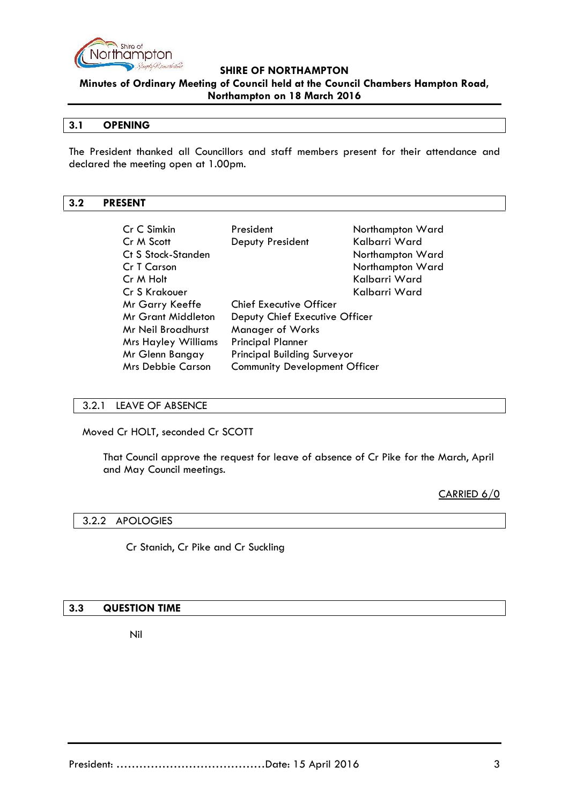

**Minutes of Ordinary Meeting of Council held at the Council Chambers Hampton Road, Northampton on 18 March 2016**

### **3.1 OPENING**

The President thanked all Councillors and staff members present for their attendance and declared the meeting open at 1.00pm.

### **3.2 PRESENT**

| Cr C Simkin                | President                            | Northampton Ward |
|----------------------------|--------------------------------------|------------------|
| Cr M Scott                 | Deputy President                     | Kalbarri Ward    |
| Ct S Stock-Standen         |                                      | Northampton Ward |
| Cr T Carson                |                                      | Northampton Ward |
| Cr M Holt                  |                                      | Kalbarri Ward    |
| Cr S Krakouer              |                                      | Kalbarri Ward    |
| Mr Garry Keeffe            | <b>Chief Executive Officer</b>       |                  |
| <b>Mr Grant Middleton</b>  | Deputy Chief Executive Officer       |                  |
| Mr Neil Broadhurst         | Manager of Works                     |                  |
| <b>Mrs Hayley Williams</b> | <b>Principal Planner</b>             |                  |
| Mr Glenn Bangay            | <b>Principal Building Surveyor</b>   |                  |
| <b>Mrs Debbie Carson</b>   | <b>Community Development Officer</b> |                  |

### 3.2.1 LEAVE OF ABSENCE

Moved Cr HOLT, seconded Cr SCOTT

That Council approve the request for leave of absence of Cr Pike for the March, April and May Council meetings.

CARRIED 6/0

### 3.2.2 APOLOGIES

Cr Stanich, Cr Pike and Cr Suckling

### **3.3 QUESTION TIME**

Nil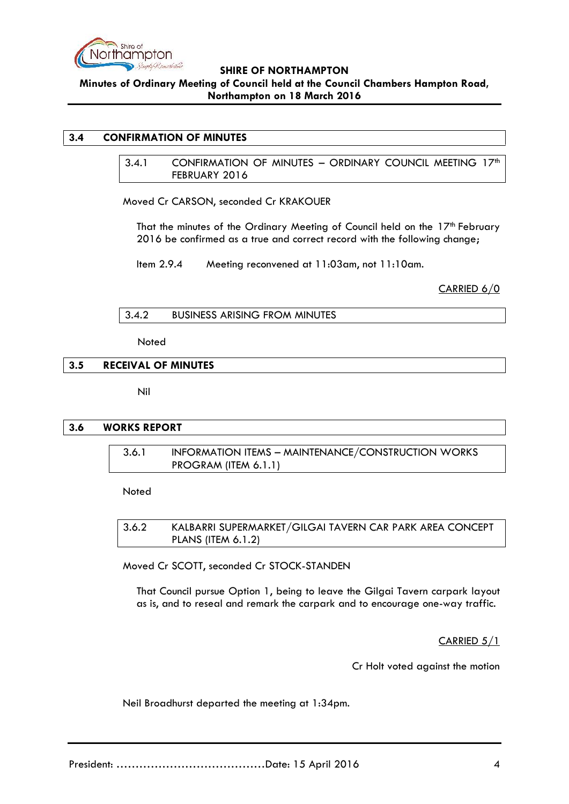

### **3.4 CONFIRMATION OF MINUTES**

3.4.1 CONFIRMATION OF MINUTES - ORDINARY COUNCIL MEETING 17<sup>th</sup> FEBRUARY 2016

Moved Cr CARSON, seconded Cr KRAKOUER

That the minutes of the Ordinary Meeting of Council held on the 17<sup>th</sup> February 2016 be confirmed as a true and correct record with the following change;

Item 2.9.4 Meeting reconvened at 11:03am, not 11:10am.

CARRIED 6/0

```
3.4.2 BUSINESS ARISING FROM MINUTES
```
Noted

### **3.5 RECEIVAL OF MINUTES**

Nil

### **3.6 WORKS REPORT**

3.6.1 INFORMATION ITEMS – MAINTENANCE/CONSTRUCTION WORKS PROGRAM (ITEM 6.1.1)

Noted

3.6.2 KALBARRI SUPERMARKET/GILGAI TAVERN CAR PARK AREA CONCEPT PLANS (ITEM 6.1.2)

Moved Cr SCOTT, seconded Cr STOCK-STANDEN

That Council pursue Option 1, being to leave the Gilgai Tavern carpark layout as is, and to reseal and remark the carpark and to encourage one-way traffic.

CARRIED 5/1

Cr Holt voted against the motion

Neil Broadhurst departed the meeting at 1:34pm.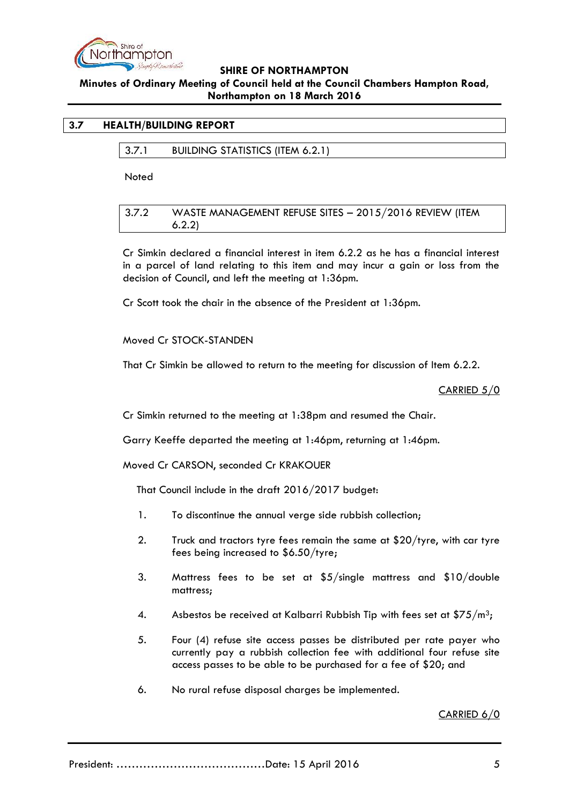

# **Minutes of Ordinary Meeting of Council held at the Council Chambers Hampton Road, Northampton on 18 March 2016**

### **3.7 HEALTH/BUILDING REPORT**

3.7.1 BUILDING STATISTICS (ITEM 6.2.1)

**Noted** 

3.7.2 WASTE MANAGEMENT REFUSE SITES – 2015/2016 REVIEW (ITEM 6.2.2)

Cr Simkin declared a financial interest in item 6.2.2 as he has a financial interest in a parcel of land relating to this item and may incur a gain or loss from the decision of Council, and left the meeting at 1:36pm.

Cr Scott took the chair in the absence of the President at 1:36pm.

Moved Cr STOCK-STANDEN

That Cr Simkin be allowed to return to the meeting for discussion of Item 6.2.2.

CARRIED 5/0

Cr Simkin returned to the meeting at 1:38pm and resumed the Chair.

Garry Keeffe departed the meeting at 1:46pm, returning at 1:46pm.

Moved Cr CARSON, seconded Cr KRAKOUER

That Council include in the draft 2016/2017 budget:

- 1. To discontinue the annual verge side rubbish collection;
- 2. Truck and tractors tyre fees remain the same at \$20/tyre, with car tyre fees being increased to \$6.50/tyre;
- 3. Mattress fees to be set at \$5/single mattress and \$10/double mattress;
- 4. Asbestos be received at Kalbarri Rubbish Tip with fees set at  $$75/m<sup>3</sup>$ ;
- 5. Four (4) refuse site access passes be distributed per rate payer who currently pay a rubbish collection fee with additional four refuse site access passes to be able to be purchased for a fee of \$20; and
- 6. No rural refuse disposal charges be implemented.

CARRIED 6/0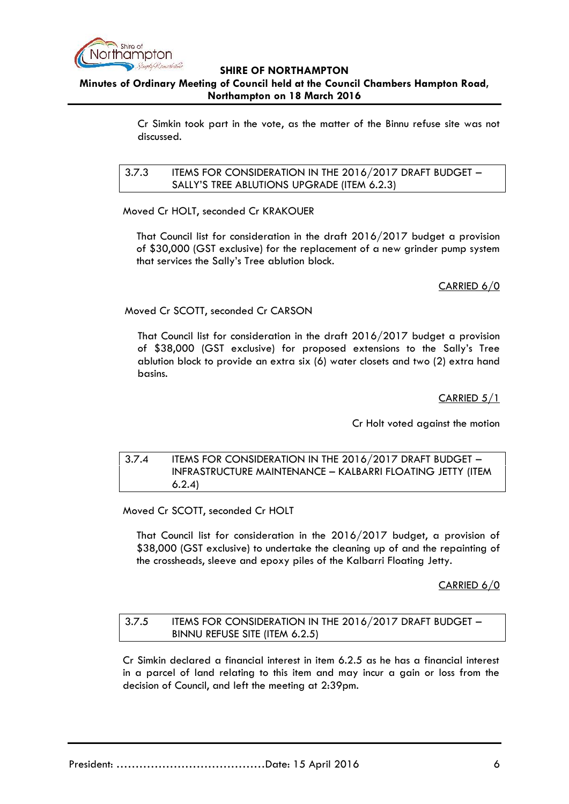

Cr Simkin took part in the vote, as the matter of the Binnu refuse site was not discussed.

3.7.3 ITEMS FOR CONSIDERATION IN THE 2016/2017 DRAFT BUDGET – SALLY'S TREE ABLUTIONS UPGRADE (ITEM 6.2.3)

Moved Cr HOLT, seconded Cr KRAKOUER

That Council list for consideration in the draft 2016/2017 budget a provision of \$30,000 (GST exclusive) for the replacement of a new grinder pump system that services the Sally's Tree ablution block.

## CARRIED 6/0

Moved Cr SCOTT, seconded Cr CARSON

That Council list for consideration in the draft 2016/2017 budget a provision of \$38,000 (GST exclusive) for proposed extensions to the Sally's Tree ablution block to provide an extra six (6) water closets and two (2) extra hand basins.

CARRIED 5/1

Cr Holt voted against the motion

## 3.7.4 ITEMS FOR CONSIDERATION IN THE 2016/2017 DRAFT BUDGET – INFRASTRUCTURE MAINTENANCE – KALBARRI FLOATING JETTY (ITEM 6.2.4)

Moved Cr SCOTT, seconded Cr HOLT

That Council list for consideration in the 2016/2017 budget, a provision of \$38,000 (GST exclusive) to undertake the cleaning up of and the repainting of the crossheads, sleeve and epoxy piles of the Kalbarri Floating Jetty.

CARRIED 6/0

## 3.7.5 ITEMS FOR CONSIDERATION IN THE 2016/2017 DRAFT BUDGET – BINNU REFUSE SITE (ITEM 6.2.5)

Cr Simkin declared a financial interest in item 6.2.5 as he has a financial interest in a parcel of land relating to this item and may incur a gain or loss from the decision of Council, and left the meeting at 2:39pm.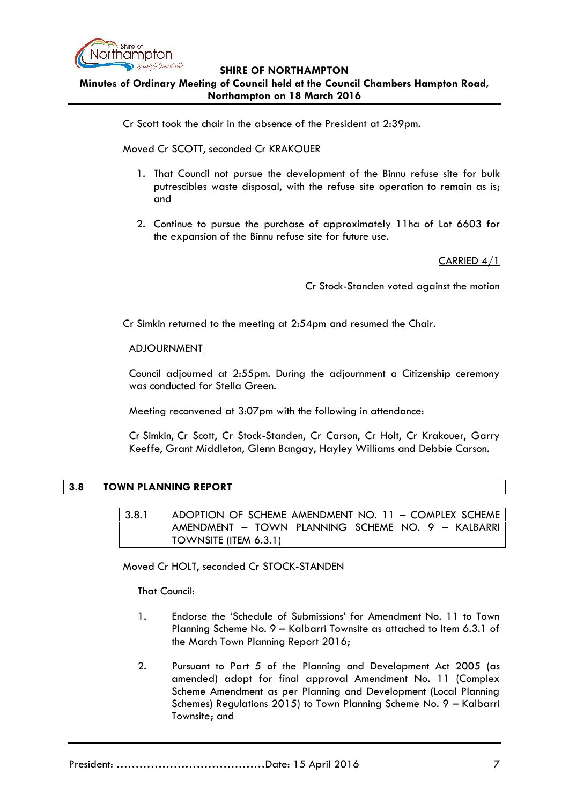

Cr Scott took the chair in the absence of the President at 2:39pm.

Moved Cr SCOTT, seconded Cr KRAKOUER

- 1. That Council not pursue the development of the Binnu refuse site for bulk putrescibles waste disposal, with the refuse site operation to remain as is; and
- 2. Continue to pursue the purchase of approximately 11ha of Lot 6603 for the expansion of the Binnu refuse site for future use.

CARRIED 4/1

Cr Stock-Standen voted against the motion

Cr Simkin returned to the meeting at 2:54pm and resumed the Chair.

### ADJOURNMENT

Council adjourned at 2:55pm. During the adjournment a Citizenship ceremony was conducted for Stella Green.

Meeting reconvened at 3:07pm with the following in attendance:

Cr Simkin, Cr Scott, Cr Stock-Standen, Cr Carson, Cr Holt, Cr Krakouer, Garry Keeffe, Grant Middleton, Glenn Bangay, Hayley Williams and Debbie Carson.

## **3.8 TOWN PLANNING REPORT**

3.8.1 ADOPTION OF SCHEME AMENDMENT NO. 11 – COMPLEX SCHEME AMENDMENT – TOWN PLANNING SCHEME NO. 9 – KALBARRI TOWNSITE (ITEM 6.3.1)

Moved Cr HOLT, seconded Cr STOCK-STANDEN

That Council:

- 1. Endorse the 'Schedule of Submissions' for Amendment No. 11 to Town Planning Scheme No. 9 – Kalbarri Townsite as attached to Item 6.3.1 of the March Town Planning Report 2016;
- 2. Pursuant to Part 5 of the Planning and Development Act 2005 (as amended) adopt for final approval Amendment No. 11 (Complex Scheme Amendment as per Planning and Development (Local Planning Schemes) Regulations 2015) to Town Planning Scheme No. 9 – Kalbarri Townsite; and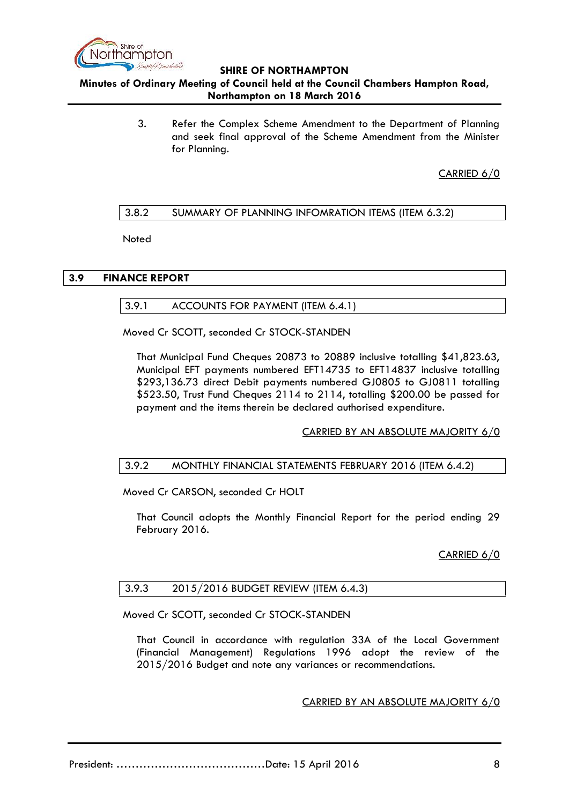

**Minutes of Ordinary Meeting of Council held at the Council Chambers Hampton Road, Northampton on 18 March 2016**

> 3. Refer the Complex Scheme Amendment to the Department of Planning and seek final approval of the Scheme Amendment from the Minister for Planning.

> > CARRIED 6/0

## 3.8.2 SUMMARY OF PLANNING INFOMRATION ITEMS (ITEM 6.3.2)

**Noted** 

### **3.9 FINANCE REPORT**

3.9.1 ACCOUNTS FOR PAYMENT (ITEM 6.4.1)

Moved Cr SCOTT, seconded Cr STOCK-STANDEN

That Municipal Fund Cheques 20873 to 20889 inclusive totalling \$41,823.63, Municipal EFT payments numbered EFT14735 to EFT14837 inclusive totalling \$293,136.73 direct Debit payments numbered GJ0805 to GJ0811 totalling \$523.50, Trust Fund Cheques 2114 to 2114, totalling \$200.00 be passed for payment and the items therein be declared authorised expenditure.

CARRIED BY AN ABSOLUTE MAJORITY 6/0

### 3.9.2 MONTHLY FINANCIAL STATEMENTS FEBRUARY 2016 (ITEM 6.4.2)

Moved Cr CARSON, seconded Cr HOLT

That Council adopts the Monthly Financial Report for the period ending 29 February 2016.

### CARRIED 6/0

## 3.9.3 2015/2016 BUDGET REVIEW (ITEM 6.4.3)

Moved Cr SCOTT, seconded Cr STOCK-STANDEN

That Council in accordance with regulation 33A of the Local Government (Financial Management) Regulations 1996 adopt the review of the 2015/2016 Budget and note any variances or recommendations.

CARRIED BY AN ABSOLUTE MAJORITY 6/0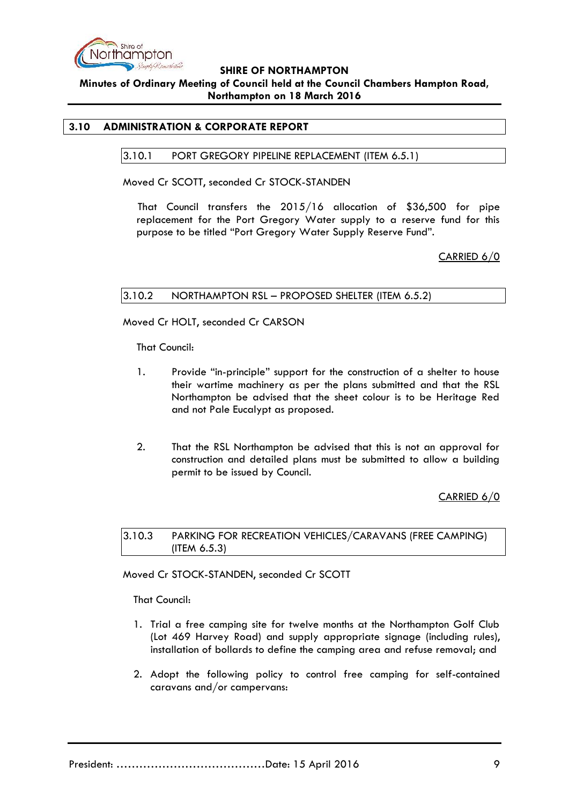

### **3.10 ADMINISTRATION & CORPORATE REPORT**

### 3.10.1 PORT GREGORY PIPELINE REPLACEMENT (ITEM 6.5.1)

Moved Cr SCOTT, seconded Cr STOCK-STANDEN

That Council transfers the 2015/16 allocation of \$36,500 for pipe replacement for the Port Gregory Water supply to a reserve fund for this purpose to be titled "Port Gregory Water Supply Reserve Fund".

CARRIED 6/0

### 3.10.2 NORTHAMPTON RSL – PROPOSED SHELTER (ITEM 6.5.2)

Moved Cr HOLT, seconded Cr CARSON

That Council:

- 1. Provide "in-principle" support for the construction of a shelter to house their wartime machinery as per the plans submitted and that the RSL Northampton be advised that the sheet colour is to be Heritage Red and not Pale Eucalypt as proposed.
- 2. That the RSL Northampton be advised that this is not an approval for construction and detailed plans must be submitted to allow a building permit to be issued by Council.

CARRIED 6/0

3.10.3 PARKING FOR RECREATION VEHICLES/CARAVANS (FREE CAMPING) (ITEM 6.5.3)

Moved Cr STOCK-STANDEN, seconded Cr SCOTT

That Council:

- 1. Trial a free camping site for twelve months at the Northampton Golf Club (Lot 469 Harvey Road) and supply appropriate signage (including rules), installation of bollards to define the camping area and refuse removal; and
- 2. Adopt the following policy to control free camping for self-contained caravans and/or campervans: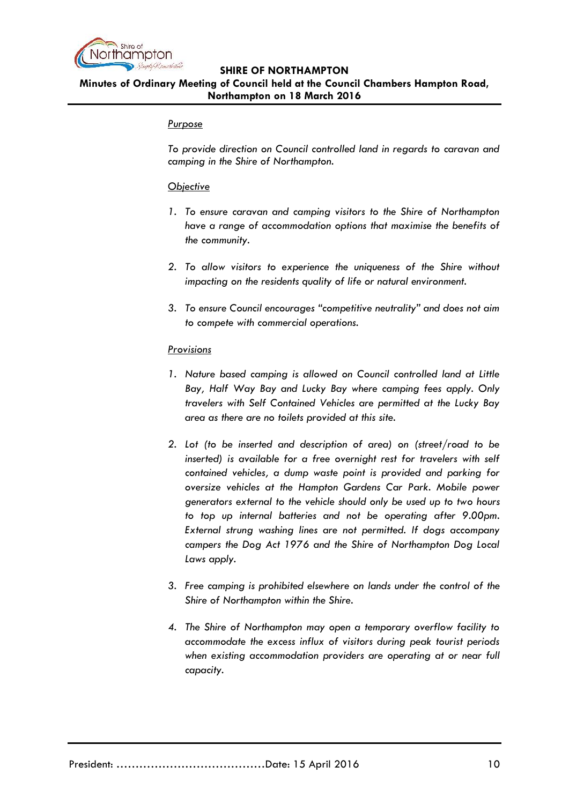

### *Purpose*

*To provide direction on Council controlled land in regards to caravan and camping in the Shire of Northampton.*

### *Objective*

- *1. To ensure caravan and camping visitors to the Shire of Northampton have a range of accommodation options that maximise the benefits of the community.*
- *2. To allow visitors to experience the uniqueness of the Shire without impacting on the residents quality of life or natural environment.*
- *3. To ensure Council encourages "competitive neutrality" and does not aim to compete with commercial operations.*

## *Provisions*

- *1. Nature based camping is allowed on Council controlled land at Little Bay, Half Way Bay and Lucky Bay where camping fees apply. Only travelers with Self Contained Vehicles are permitted at the Lucky Bay area as there are no toilets provided at this site.*
- *2. Lot (to be inserted and description of area) on (street/road to be inserted) is available for a free overnight rest for travelers with self contained vehicles, a dump waste point is provided and parking for oversize vehicles at the Hampton Gardens Car Park. Mobile power generators external to the vehicle should only be used up to two hours to top up internal batteries and not be operating after 9.00pm. External strung washing lines are not permitted. If dogs accompany campers the Dog Act 1976 and the Shire of Northampton Dog Local Laws apply.*
- *3. Free camping is prohibited elsewhere on lands under the control of the Shire of Northampton within the Shire.*
- *4. The Shire of Northampton may open a temporary overflow facility to accommodate the excess influx of visitors during peak tourist periods when existing accommodation providers are operating at or near full capacity.*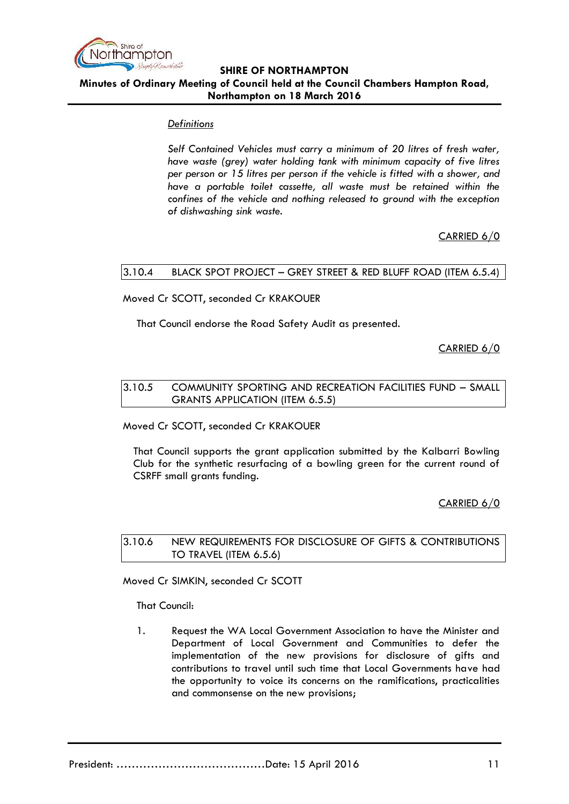

## *Definitions*

*Self Contained Vehicles must carry a minimum of 20 litres of fresh water, have waste (grey) water holding tank with minimum capacity of five litres per person or 15 litres per person if the vehicle is fitted with a shower, and have a portable toilet cassette, all waste must be retained within the confines of the vehicle and nothing released to ground with the exception of dishwashing sink waste.*

# CARRIED 6/0

## 3.10.4 BLACK SPOT PROJECT – GREY STREET & RED BLUFF ROAD (ITEM 6.5.4)

## Moved Cr SCOTT, seconded Cr KRAKOUER

That Council endorse the Road Safety Audit as presented.

CARRIED 6/0

## 3.10.5 COMMUNITY SPORTING AND RECREATION FACILITIES FUND – SMALL GRANTS APPLICATION (ITEM 6.5.5)

Moved Cr SCOTT, seconded Cr KRAKOUER

That Council supports the grant application submitted by the Kalbarri Bowling Club for the synthetic resurfacing of a bowling green for the current round of CSRFF small grants funding.

## CARRIED 6/0

3.10.6 NEW REQUIREMENTS FOR DISCLOSURE OF GIFTS & CONTRIBUTIONS TO TRAVEL (ITEM 6.5.6)

Moved Cr SIMKIN, seconded Cr SCOTT

That Council:

1. Request the WA Local Government Association to have the Minister and Department of Local Government and Communities to defer the implementation of the new provisions for disclosure of gifts and contributions to travel until such time that Local Governments have had the opportunity to voice its concerns on the ramifications, practicalities and commonsense on the new provisions;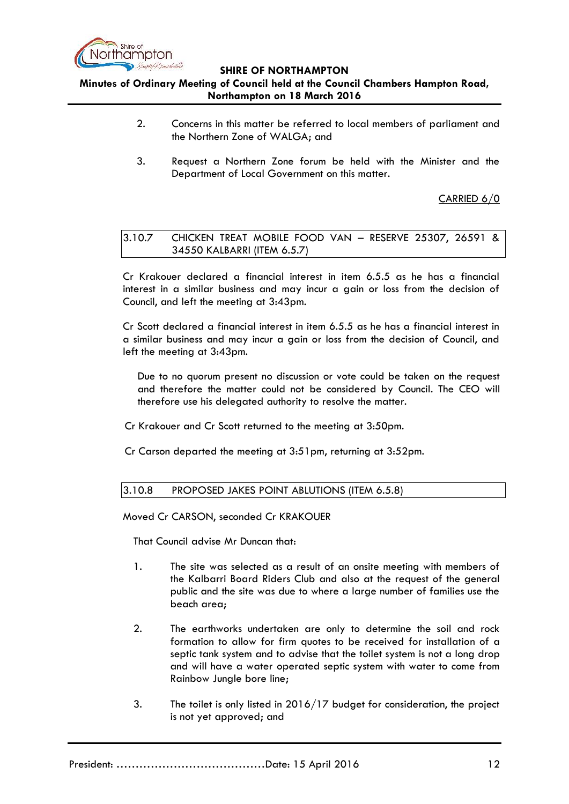

# **Minutes of Ordinary Meeting of Council held at the Council Chambers Hampton Road, Northampton on 18 March 2016**

- 2. Concerns in this matter be referred to local members of parliament and the Northern Zone of WALGA; and
- 3. Request a Northern Zone forum be held with the Minister and the Department of Local Government on this matter.

# CARRIED 6/0

3.10.7 CHICKEN TREAT MOBILE FOOD VAN – RESERVE 25307, 26591 & 34550 KALBARRI (ITEM 6.5.7)

Cr Krakouer declared a financial interest in item 6.5.5 as he has a financial interest in a similar business and may incur a gain or loss from the decision of Council, and left the meeting at 3:43pm.

Cr Scott declared a financial interest in item 6.5.5 as he has a financial interest in a similar business and may incur a gain or loss from the decision of Council, and left the meeting at 3:43pm.

Due to no quorum present no discussion or vote could be taken on the request and therefore the matter could not be considered by Council. The CEO will therefore use his delegated authority to resolve the matter.

- Cr Krakouer and Cr Scott returned to the meeting at 3:50pm.
- Cr Carson departed the meeting at 3:51pm, returning at 3:52pm.

## 3.10.8 PROPOSED JAKES POINT ABLUTIONS (ITEM 6.5.8)

Moved Cr CARSON, seconded Cr KRAKOUER

That Council advise Mr Duncan that:

- 1. The site was selected as a result of an onsite meeting with members of the Kalbarri Board Riders Club and also at the request of the general public and the site was due to where a large number of families use the beach area;
- 2. The earthworks undertaken are only to determine the soil and rock formation to allow for firm quotes to be received for installation of a septic tank system and to advise that the toilet system is not a long drop and will have a water operated septic system with water to come from Rainbow Jungle bore line;
- 3. The toilet is only listed in 2016/17 budget for consideration, the project is not yet approved; and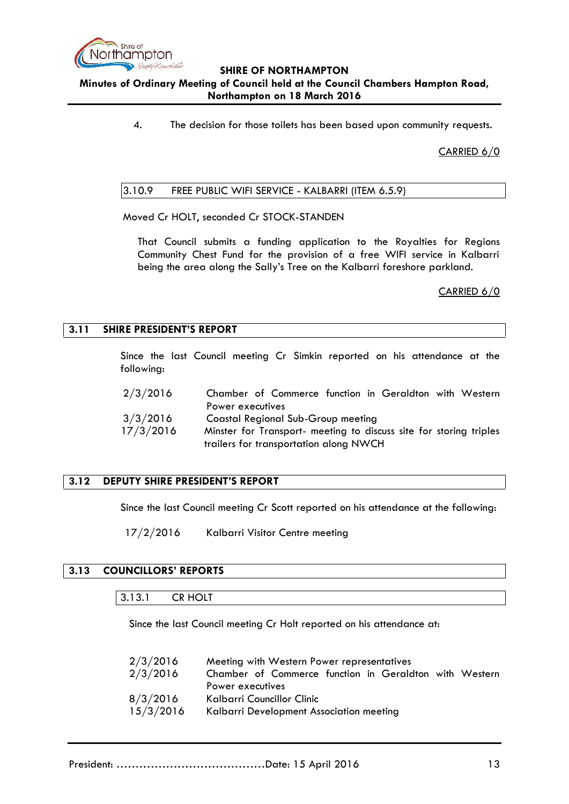

4. The decision for those toilets has been based upon community requests.

CARRIED 6/0

### 3.10.9 FREE PUBLIC WIFI SERVICE - KALBARRI (ITEM 6.5.9)

Moved Cr HOLT, seconded Cr STOCK-STANDEN

That Council submits a funding application to the Royalties for Regions Community Chest Fund for the provision of a free WIFI service in Kalbarri being the area along the Sally's Tree on the Kalbarri foreshore parkland.

CARRIED 6/0

### **3.11 SHIRE PRESIDENT'S REPORT**

Since the last Council meeting Cr Simkin reported on his attendance at the following:

| 2/3/2016  | Chamber of Commerce function in Geraldton with Western             |
|-----------|--------------------------------------------------------------------|
|           | Power executives                                                   |
| 3/3/2016  | Coastal Regional Sub-Group meeting                                 |
| 17/3/2016 | Minster for Transport- meeting to discuss site for storing triples |
|           | trailers for transportation along NWCH                             |

### **3.12 DEPUTY SHIRE PRESIDENT'S REPORT**

Since the last Council meeting Cr Scott reported on his attendance at the following:

17/2/2016 Kalbarri Visitor Centre meeting

# **3.13 COUNCILLORS' REPORTS**

### 3.13.1 CR HOLT

Since the last Council meeting Cr Holt reported on his attendance at:

| 2/3/2016  | Meeting with Western Power representatives             |
|-----------|--------------------------------------------------------|
| 2/3/2016  | Chamber of Commerce function in Geraldton with Western |
|           | Power executives                                       |
| 8/3/2016  | Kalbarri Councillor Clinic                             |
| 15/3/2016 | Kalbarri Development Association meeting               |